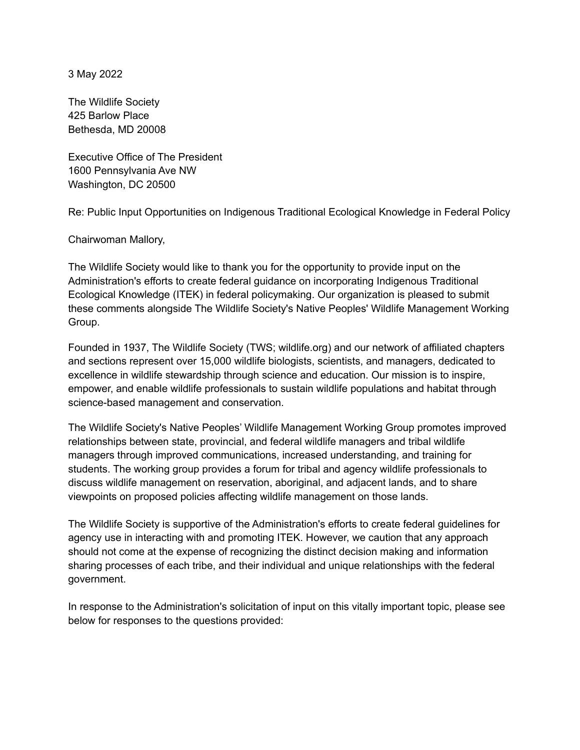3 May 2022

The Wildlife Society 425 Barlow Place Bethesda, MD 20008

Executive Office of The President 1600 Pennsylvania Ave NW Washington, DC 20500

Re: Public Input Opportunities on Indigenous Traditional Ecological Knowledge in Federal Policy

Chairwoman Mallory,

The Wildlife Society would like to thank you for the opportunity to provide input on the Administration's efforts to create federal guidance on incorporating Indigenous Traditional Ecological Knowledge (ITEK) in federal policymaking. Our organization is pleased to submit these comments alongside The Wildlife Society's Native Peoples' Wildlife Management Working Group.

Founded in 1937, The Wildlife Society (TWS; wildlife.org) and our network of affiliated chapters and sections represent over 15,000 wildlife biologists, scientists, and managers, dedicated to excellence in wildlife stewardship through science and education. Our mission is to inspire, empower, and enable wildlife professionals to sustain wildlife populations and habitat through science-based management and conservation.

The Wildlife Society's Native Peoples' Wildlife Management Working Group promotes improved relationships between state, provincial, and federal wildlife managers and tribal wildlife managers through improved communications, increased understanding, and training for students. The working group provides a forum for tribal and agency wildlife professionals to discuss wildlife management on reservation, aboriginal, and adjacent lands, and to share viewpoints on proposed policies affecting wildlife management on those lands.

The Wildlife Society is supportive of the Administration's efforts to create federal guidelines for agency use in interacting with and promoting ITEK. However, we caution that any approach should not come at the expense of recognizing the distinct decision making and information sharing processes of each tribe, and their individual and unique relationships with the federal government.

In response to the Administration's solicitation of input on this vitally important topic, please see below for responses to the questions provided: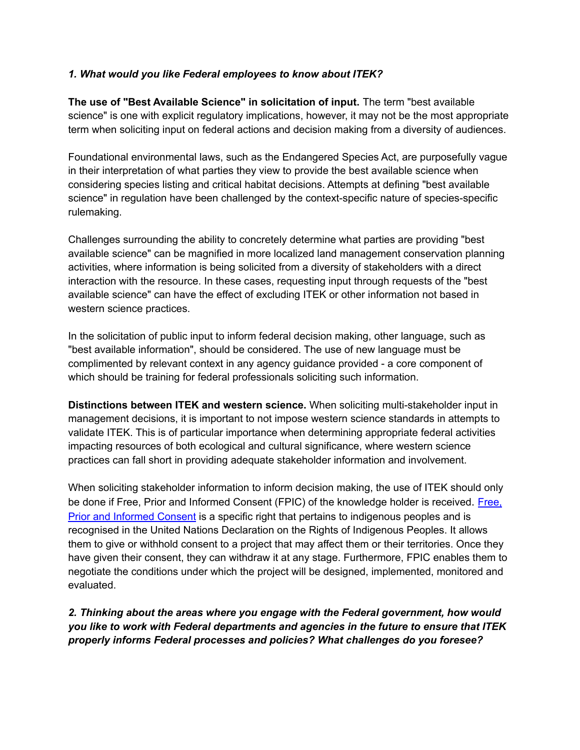## *1. What would you like Federal employees to know about ITEK?*

**The use of "Best Available Science" in solicitation of input.** The term "best available science" is one with explicit regulatory implications, however, it may not be the most appropriate term when soliciting input on federal actions and decision making from a diversity of audiences.

Foundational environmental laws, such as the Endangered Species Act, are purposefully vague in their interpretation of what parties they view to provide the best available science when considering species listing and critical habitat decisions. Attempts at defining "best available science" in regulation have been challenged by the context-specific nature of species-specific rulemaking.

Challenges surrounding the ability to concretely determine what parties are providing "best available science" can be magnified in more localized land management conservation planning activities, where information is being solicited from a diversity of stakeholders with a direct interaction with the resource. In these cases, requesting input through requests of the "best available science" can have the effect of excluding ITEK or other information not based in western science practices.

In the solicitation of public input to inform federal decision making, other language, such as "best available information", should be considered. The use of new language must be complimented by relevant context in any agency guidance provided - a core component of which should be training for federal professionals soliciting such information.

**Distinctions between ITEK and western science.** When soliciting multi-stakeholder input in management decisions, it is important to not impose western science standards in attempts to validate ITEK. This is of particular importance when determining appropriate federal activities impacting resources of both ecological and cultural significance, where western science practices can fall short in providing adequate stakeholder information and involvement.

When soliciting stakeholder information to inform decision making, the use of ITEK should only be done if Free, Prior and Informed Consent (FPIC) of the knowledge holder is received. [Free,](https://www.fao.org/indigenous-peoples/our-pillars/fpic/en/) Prior and [Informed](https://www.fao.org/indigenous-peoples/our-pillars/fpic/en/) Consent is a specific right that pertains to indigenous peoples and is recognised in the United Nations Declaration on the Rights of Indigenous Peoples. It allows them to give or withhold consent to a project that may affect them or their territories. Once they have given their consent, they can withdraw it at any stage. Furthermore, FPIC enables them to negotiate the conditions under which the project will be designed, implemented, monitored and evaluated.

*2. Thinking about the areas where you engage with the Federal government, how would you like to work with Federal departments and agencies in the future to ensure that ITEK properly informs Federal processes and policies? What challenges do you foresee?*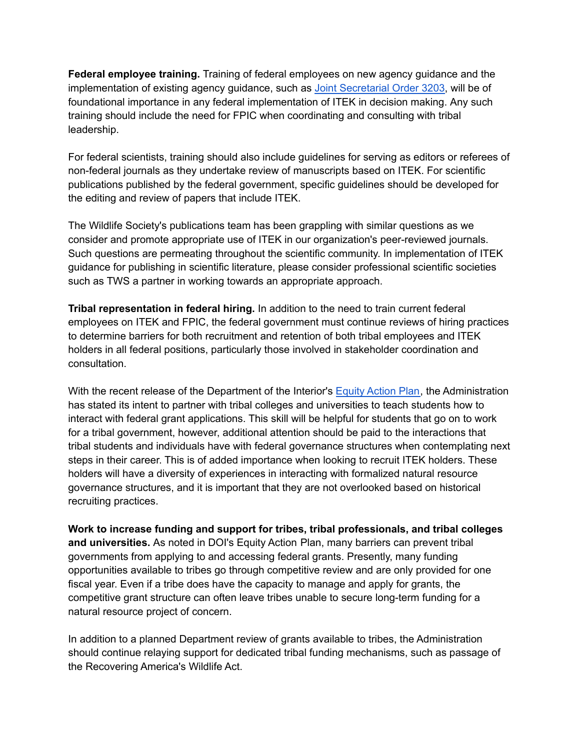**Federal employee training.** Training of federal employees on new agency guidance and the implementation of existing agency guidance, such as Joint [Secretarial](https://www.doi.gov/sites/doi.gov/files/elips/documents/so-3403-joint-secretarial-order-on-fulfilling-the-trust-responsibility-to-indian-tribes-in-the-stewardship-of-federal-lands-and-waters.pdf) Order 3203, will be of foundational importance in any federal implementation of ITEK in decision making. Any such training should include the need for FPIC when coordinating and consulting with tribal leadership.

For federal scientists, training should also include guidelines for serving as editors or referees of non-federal journals as they undertake review of manuscripts based on ITEK. For scientific publications published by the federal government, specific guidelines should be developed for the editing and review of papers that include ITEK.

The Wildlife Society's publications team has been grappling with similar questions as we consider and promote appropriate use of ITEK in our organization's peer-reviewed journals. Such questions are permeating throughout the scientific community. In implementation of ITEK guidance for publishing in scientific literature, please consider professional scientific societies such as TWS a partner in working towards an appropriate approach.

**Tribal representation in federal hiring.** In addition to the need to train current federal employees on ITEK and FPIC, the federal government must continue reviews of hiring practices to determine barriers for both recruitment and retention of both tribal employees and ITEK holders in all federal positions, particularly those involved in stakeholder coordination and consultation.

With the recent release of the Department of the Interior's [Equity](https://www.doi.gov/sites/doi.gov/files/eo13985-02-10-2022-doi-equity-action-plan-final-with-cover.pdf) Action Plan, the Administration has stated its intent to partner with tribal colleges and universities to teach students how to interact with federal grant applications. This skill will be helpful for students that go on to work for a tribal government, however, additional attention should be paid to the interactions that tribal students and individuals have with federal governance structures when contemplating next steps in their career. This is of added importance when looking to recruit ITEK holders. These holders will have a diversity of experiences in interacting with formalized natural resource governance structures, and it is important that they are not overlooked based on historical recruiting practices.

**Work to increase funding and support for tribes, tribal professionals, and tribal colleges and universities.** As noted in DOI's Equity Action Plan, many barriers can prevent tribal governments from applying to and accessing federal grants. Presently, many funding opportunities available to tribes go through competitive review and are only provided for one fiscal year. Even if a tribe does have the capacity to manage and apply for grants, the competitive grant structure can often leave tribes unable to secure long-term funding for a natural resource project of concern.

In addition to a planned Department review of grants available to tribes, the Administration should continue relaying support for dedicated tribal funding mechanisms, such as passage of the Recovering America's Wildlife Act.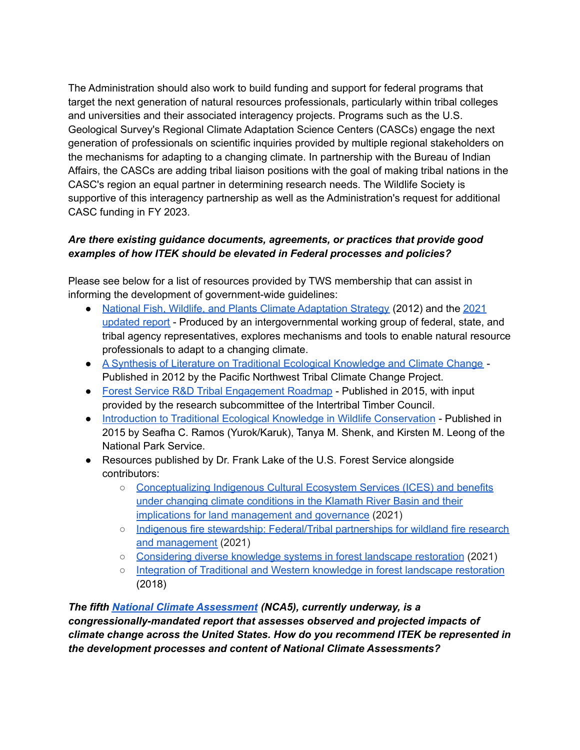The Administration should also work to build funding and support for federal programs that target the next generation of natural resources professionals, particularly within tribal colleges and universities and their associated interagency projects. Programs such as the U.S. Geological Survey's Regional Climate Adaptation Science Centers (CASCs) engage the next generation of professionals on scientific inquiries provided by multiple regional stakeholders on the mechanisms for adapting to a changing climate. In partnership with the Bureau of Indian Affairs, the CASCs are adding tribal liaison positions with the goal of making tribal nations in the CASC's region an equal partner in determining research needs. The Wildlife Society is supportive of this interagency partnership as well as the Administration's request for additional CASC funding in FY 2023.

## *Are there existing guidance documents, agreements, or practices that provide good examples of how ITEK should be elevated in Federal processes and policies?*

Please see below for a list of resources provided by TWS membership that can assist in informing the development of government-wide guidelines:

- National Fish, Wildlife, and Plants Climate [Adaptation](https://toolkit.climate.gov/sites/default/files/NFWPCAS-Final_0.pdf) Strategy (2012) and the [2021](https://www.fishwildlife.org/application/files/4216/1161/3356/Advancing_Strategy_Report_FINAL.pdf) [updated](https://www.fishwildlife.org/application/files/4216/1161/3356/Advancing_Strategy_Report_FINAL.pdf) report - Produced by an intergovernmental working group of federal, state, and tribal agency representatives, explores mechanisms and tools to enable natural resource professionals to adapt to a changing climate.
- A Synthesis of Literature on Traditional Ecological [Knowledge](https://cpb-us-e1.wpmucdn.com/blogs.uoregon.edu/dist/c/389/files/2010/11/TEK_CC_Draft_3-13-2012.pdf) and Climate Change Published in 2012 by the Pacific Northwest Tribal Climate Change Project.
- Forest Service R&D Tribal [Engagement](https://www.fs.fed.us/research/docs/tribal-engagement/consultation/roadmap.pdf) Roadmap Published in 2015, with input provided by the research subcommittee of the Intertribal Timber Council.
- Introduction to Traditional Ecological Knowledge in Wildlife [Conservation](https://wildlife.org/wp-content/uploads/2022/05/Ramos-et-al.2016.Introduction-to-Traditional-Ecological-Knowledge-in-Wildlife-Conservation.pdf) Published in 2015 by Seafha C. Ramos (Yurok/Karuk), Tanya M. Shenk, and Kirsten M. Leong of the National Park Service.
- Resources published by Dr. Frank Lake of the U.S. Forest Service alongside contributors:
	- [Conceptualizing](https://www.fs.usda.gov/treesearch/pubs/63527) Indigenous Cultural Ecosystem Services (ICES) and benefits under changing climate [conditions](https://www.fs.usda.gov/treesearch/pubs/63527) in the Klamath River Basin and their implications for land [management](https://www.fs.usda.gov/treesearch/pubs/63527) and governance (2021)
	- Indigenous fire stewardship: [Federal/Tribal](https://www.fs.usda.gov/treesearch/pubs/62060) partnerships for wildland fire research and [management](https://www.fs.usda.gov/treesearch/pubs/62060) (2021)
	- [Considering](https://www.fs.usda.gov/treesearch/pubs/57159) diverse knowledge systems in forest landscape restoration (2021)
	- Integration of Traditional and Western [knowledge](https://www.fs.usda.gov/treesearch/pubs/57158) in forest landscape restoration (2018)

*The fifth National Climate [Assessment](https://www.globalchange.gov/nca5) (NCA5), currently underway, is a congressionally-mandated report that assesses observed and projected impacts of climate change across the United States. How do you recommend ITEK be represented in the development processes and content of National Climate Assessments?*